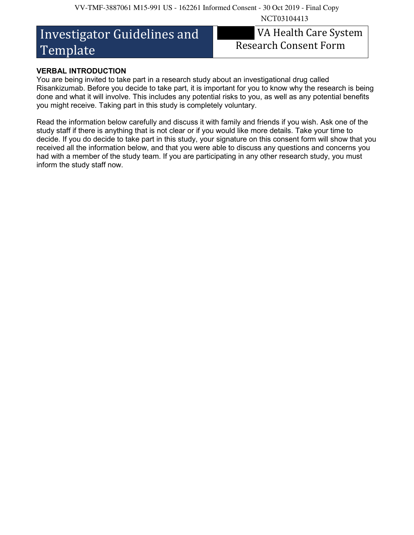## Investigator Guidelines and Template

### VA Health Care System Research Consent Form

### **VERBAL INTRODUCTION**

You are being invited to take part in a research study about an investigational drug called Risankizumab. Before you decide to take part, it is important for you to know why the research is being done and what it will involve. This includes any potential risks to you, as well as any potential benefits you might receive. Taking part in this study is completely voluntary.

Read the information below carefully and discuss it with family and friends if you wish. Ask one of the study staff if there is anything that is not clear or if you would like more details. Take your time to decide. If you do decide to take part in this study, your signature on this consent form will show that you received all the information below, and that you were able to discuss any questions and concerns you had with a member of the study team. If you are participating in any other research study, you must inform the study staff now.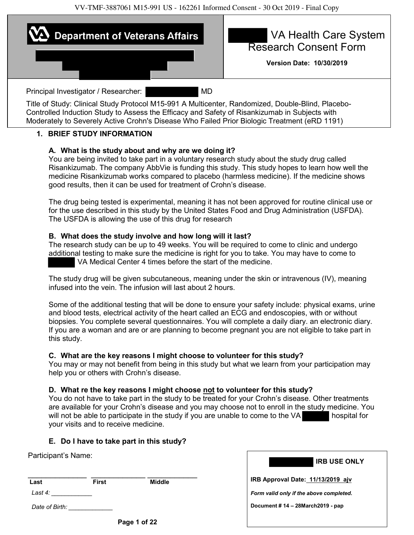

**Version Date: 10/30/2019**

Principal Investigator / Researcher: MD

Title of Study: Clinical Study Protocol M15-991 A Multicenter, Randomized, Double-Blind, Placebo-Controlled Induction Study to Assess the Efficacy and Safety of Risankizumab in Subjects with Moderately to Severely Active Crohn's Disease Who Failed Prior Biologic Treatment (eRD 1191)

#### **1. BRIEF STUDY INFORMATION**

#### **A. What is the study about and why are we doing it?**

You are being invited to take part in a voluntary research study about the study drug called Risankizumab. The company AbbVie is funding this study. This study hopes to learn how well the medicine Risankizumab works compared to placebo (harmless medicine). If the medicine shows good results, then it can be used for treatment of Crohn's disease.

The drug being tested is experimental, meaning it has not been approved for routine clinical use or for the use described in this study by the United States Food and Drug Administration (USFDA). The USFDA is allowing the use of this drug for research

### **B. What does the study involve and how long will it last?**

The research study can be up to 49 weeks. You will be required to come to clinic and undergo additional testing to make sure the medicine is right for you to take. You may have to come to VA Medical Center 4 times before the start of the medicine.

The study drug will be given subcutaneous, meaning under the skin or intravenous (IV), meaning infused into the vein. The infusion will last about 2 hours.

Some of the additional testing that will be done to ensure your safety include: physical exams, urine and blood tests, electrical activity of the heart called an ECG and endoscopies, with or without biopsies. You complete several questionnaires. You will complete a daily diary. an electronic diary. If you are a woman and are or are planning to become pregnant you are not eligible to take part in this study.

#### **C. What are the key reasons I might choose to volunteer for this study?**

You may or may not benefit from being in this study but what we learn from your participation may help you or others with Crohn's disease.

#### **D. What re the key reasons I might choose not to volunteer for this study?**

You do not have to take part in the study to be treated for your Crohn's disease. Other treatments are available for your Crohn's disease and you may choose not to enroll in the study medicine. You will not be able to participate in the study if you are unable to come to the VA hospital for your visits and to receive medicine.

### **E. Do I have to take part in this study?**

Participant's Name:

\_\_\_\_\_\_\_\_\_\_\_\_\_ \_\_\_\_\_\_\_\_\_\_\_\_ \_\_\_\_\_\_\_\_\_\_\_ Last **First** Middle *Last 4: \_\_\_\_\_\_\_\_\_\_\_\_ Date of Birth: \_\_\_\_\_\_\_\_\_\_\_\_\_*

| <b>IRB USE ONLY</b>                     |
|-----------------------------------------|
| IRB Approval Date: 11/13/2019 aiv       |
| Form valid only if the above completed. |
| Document # 14 - 28March 2019 - pap      |
|                                         |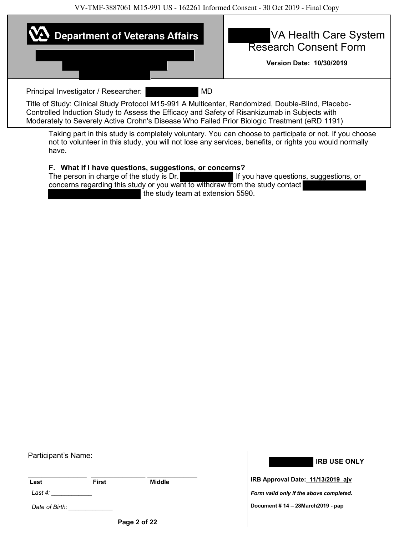

Principal Investigator / Researcher: MD

Title of Study: Clinical Study Protocol M15-991 A Multicenter, Randomized, Double-Blind, Placebo-Controlled Induction Study to Assess the Efficacy and Safety of Risankizumab in Subjects with Moderately to Severely Active Crohn's Disease Who Failed Prior Biologic Treatment (eRD 1191)

Taking part in this study is completely voluntary. You can choose to participate or not. If you choose not to volunteer in this study, you will not lose any services, benefits, or rights you would normally have.

**F. What if I have questions, suggestions, or concerns?** The person in charge of the study is Dr. concerns regarding this study or you want to withdraw from the study contact the study team at extension 5590.

Participant's Name:

\_\_\_\_\_\_\_\_\_\_\_\_\_ \_\_\_\_\_\_\_\_\_\_\_\_ \_\_\_\_\_\_\_\_\_\_\_ Last **First** Middle *Last 4: \_\_\_\_\_\_\_\_\_\_\_\_*

*Date of Birth: \_\_\_\_\_\_\_\_\_\_\_\_\_*

**IRB Approval Date: 11/13/2019 ajv** *Form valid only if the above completed.* **Document # 14 – 28March2019 - pap** 

**IRB USE ONLY**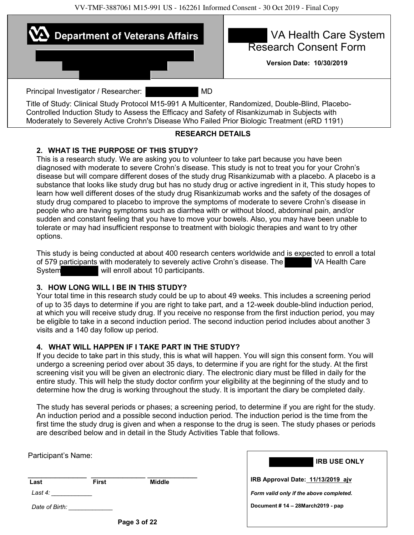

Title of Study: Clinical Study Protocol M15-991 A Multicenter, Randomized, Double-Blind, Placebo-Controlled Induction Study to Assess the Efficacy and Safety of Risankizumab in Subjects with Moderately to Severely Active Crohn's Disease Who Failed Prior Biologic Treatment (eRD 1191)

#### **RESEARCH DETAILS**

### **2. WHAT IS THE PURPOSE OF THIS STUDY?**

This is a research study. We are asking you to volunteer to take part because you have been diagnosed with moderate to severe Crohn's disease. This study is not to treat you for your Crohn's disease but will compare different doses of the study drug Risankizumab with a placebo. A placebo is a substance that looks like study drug but has no study drug or active ingredient in it, This study hopes to learn how well different doses of the study drug Risankizumab works and the safety of the dosages of study drug compared to placebo to improve the symptoms of moderate to severe Crohn's disease in people who are having symptoms such as diarrhea with or without blood, abdominal pain, and/or sudden and constant feeling that you have to move your bowels. Also, you may have been unable to tolerate or may had insufficient response to treatment with biologic therapies and want to try other options.

This study is being conducted at about 400 research centers worldwide and is expected to enroll a total of 579 participants with moderately to severely active Crohn's disease. The VA Health Care System will enroll about 10 participants.

### **3. HOW LONG WILL I BE IN THIS STUDY?**

Your total time in this research study could be up to about 49 weeks. This includes a screening period of up to 35 days to determine if you are right to take part, and a 12-week double-blind induction period, at which you will receive study drug. If you receive no response from the first induction period, you may be eligible to take in a second induction period. The second induction period includes about another 3 visits and a 140 day follow up period.

### **4. WHAT WILL HAPPEN IF I TAKE PART IN THE STUDY?**

If you decide to take part in this study, this is what will happen. You will sign this consent form. You will undergo a screening period over about 35 days, to determine if you are right for the study. At the first screening visit you will be given an electronic diary. The electronic diary must be filled in daily for the entire study. This will help the study doctor confirm your eligibility at the beginning of the study and to determine how the drug is working throughout the study. It is important the diary be completed daily.

The study has several periods or phases; a screening period, to determine if you are right for the study. An induction period and a possible second induction period. The induction period is the time from the first time the study drug is given and when a response to the drug is seen. The study phases or periods are described below and in detail in the Study Activities Table that follows.

| Participant's Name: |              |               |      |
|---------------------|--------------|---------------|------|
| Last                | <b>First</b> | <b>Middle</b> | IRB. |
| Last 4:             |              |               | Forn |
| Date of Birth:      |              |               | Docu |
|                     |              | Page 3 of 22  |      |

| <b>IRB USE ONLY</b>                     |  |
|-----------------------------------------|--|
| IRB Approval Date: 11/13/2019 aiv       |  |
| Form valid only if the above completed. |  |
| Document # 14 – 28March2019 - pap       |  |
|                                         |  |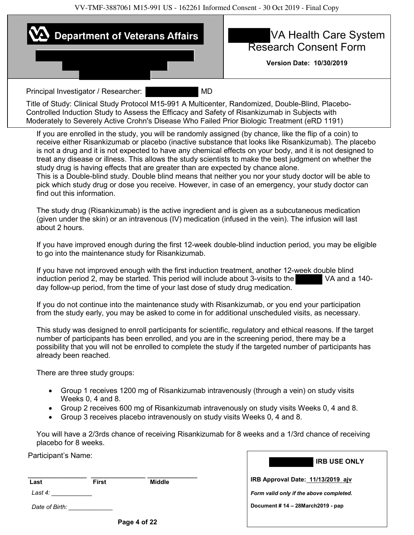

**Version Date: 10/30/2019**

Principal Investigator / Researcher: MD

Title of Study: Clinical Study Protocol M15-991 A Multicenter, Randomized, Double-Blind, Placebo-Controlled Induction Study to Assess the Efficacy and Safety of Risankizumab in Subjects with Moderately to Severely Active Crohn's Disease Who Failed Prior Biologic Treatment (eRD 1191)

If you are enrolled in the study, you will be randomly assigned (by chance, like the flip of a coin) to receive either Risankizumab or placebo (inactive substance that looks like Risankizumab). The placebo is not a drug and it is not expected to have any chemical effects on your body, and it is not designed to treat any disease or illness. This allows the study scientists to make the best judgment on whether the study drug is having effects that are greater than are expected by chance alone. This is a Double-blind study. Double blind means that neither you nor your study doctor will be able to

pick which study drug or dose you receive. However, in case of an emergency, your study doctor can find out this information.

The study drug (Risankizumab) is the active ingredient and is given as a subcutaneous medication (given under the skin) or an intravenous (IV) medication (infused in the vein). The infusion will last about 2 hours.

If you have improved enough during the first 12-week double-blind induction period, you may be eligible to go into the maintenance study for Risankizumab.

If you have not improved enough with the first induction treatment, another 12-week double blind induction period 2, may be started. This period will include about 3-visits to the VA and a 140day follow-up period, from the time of your last dose of study drug medication.

If you do not continue into the maintenance study with Risankizumab, or you end your participation from the study early, you may be asked to come in for additional unscheduled visits, as necessary.

This study was designed to enroll participants for scientific, regulatory and ethical reasons. If the target number of participants has been enrolled, and you are in the screening period, there may be a possibility that you will not be enrolled to complete the study if the targeted number of participants has already been reached.

There are three study groups:

- Group 1 receives 1200 mg of Risankizumab intravenously (through a vein) on study visits Weeks 0, 4 and 8.
- Group 2 receives 600 mg of Risankizumab intravenously on study visits Weeks 0, 4 and 8.
- Group 3 receives placebo intravenously on study visits Weeks 0, 4 and 8.

You will have a 2/3rds chance of receiving Risankizumab for 8 weeks and a 1/3rd chance of receiving placebo for 8 weeks.

Participant's Name:

| Last           | <b>First</b> | <b>Middle</b> |  |
|----------------|--------------|---------------|--|
| Last 4:        |              |               |  |
| Date of Birth: |              |               |  |

|                                         | <b>IRB USE ONLY</b>               |  |  |  |  |  |  |
|-----------------------------------------|-----------------------------------|--|--|--|--|--|--|
| IRB Approval Date: 11/13/2019 ajv       |                                   |  |  |  |  |  |  |
| Form valid only if the above completed. |                                   |  |  |  |  |  |  |
|                                         | Document # 14 - 28March2019 - pap |  |  |  |  |  |  |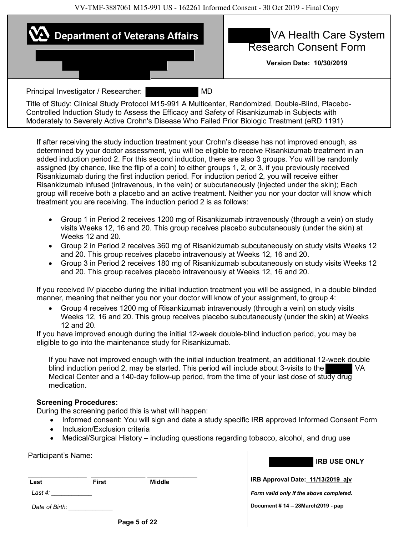

**Version Date: 10/30/2019**

Principal Investigator / Researcher: MD

Title of Study: Clinical Study Protocol M15-991 A Multicenter, Randomized, Double-Blind, Placebo-Controlled Induction Study to Assess the Efficacy and Safety of Risankizumab in Subjects with Moderately to Severely Active Crohn's Disease Who Failed Prior Biologic Treatment (eRD 1191)

If after receiving the study induction treatment your Crohn's disease has not improved enough, as determined by your doctor assessment, you will be eligible to receive Risankizumab treatment in an added induction period 2. For this second induction, there are also 3 groups. You will be randomly assigned (by chance, like the flip of a coin) to either groups 1, 2, or 3, if you previously received Risankizumab during the first induction period. For induction period 2, you will receive either Risankizumab infused (intravenous, in the vein) or subcutaneously (injected under the skin); Each group will receive both a placebo and an active treatment. Neither you nor your doctor will know which treatment you are receiving. The induction period 2 is as follows:

- Group 1 in Period 2 receives 1200 mg of Risankizumab intravenously (through a vein) on study visits Weeks 12, 16 and 20. This group receives placebo subcutaneously (under the skin) at Weeks 12 and 20.
- Group 2 in Period 2 receives 360 mg of Risankizumab subcutaneously on study visits Weeks 12 and 20. This group receives placebo intravenously at Weeks 12, 16 and 20.
- Group 3 in Period 2 receives 180 mg of Risankizumab subcutaneously on study visits Weeks 12 and 20. This group receives placebo intravenously at Weeks 12, 16 and 20.

If you received IV placebo during the initial induction treatment you will be assigned, in a double blinded manner, meaning that neither you nor your doctor will know of your assignment, to group 4:

• Group 4 receives 1200 mg of Risankizumab intravenously (through a vein) on study visits Weeks 12, 16 and 20. This group receives placebo subcutaneously (under the skin) at Weeks 12 and 20.

If you have improved enough during the initial 12-week double-blind induction period, you may be eligible to go into the maintenance study for Risankizumab.

If you have not improved enough with the initial induction treatment, an additional 12-week double blind induction period 2, may be started. This period will include about 3-visits to the VA Medical Center and a 140-day follow-up period, from the time of your last dose of study drug medication.

### **Screening Procedures:**

During the screening period this is what will happen:

- Informed consent: You will sign and date a study specific IRB approved Informed Consent Form
- Inclusion/Exclusion criteria
- Medical/Surgical History including questions regarding tobacco, alcohol, and drug use

Participant's Name:

| Last           | <b>First</b> | <b>Middle</b> |
|----------------|--------------|---------------|
| Last 4:        |              |               |
| Date of Birth: |              |               |

| <b>IRB USE ONLY</b>                     |
|-----------------------------------------|
| IRB Approval Date: 11/13/2019 ajv       |
| Form valid only if the above completed. |
| Document # 14 - 28March2019 - pap       |
|                                         |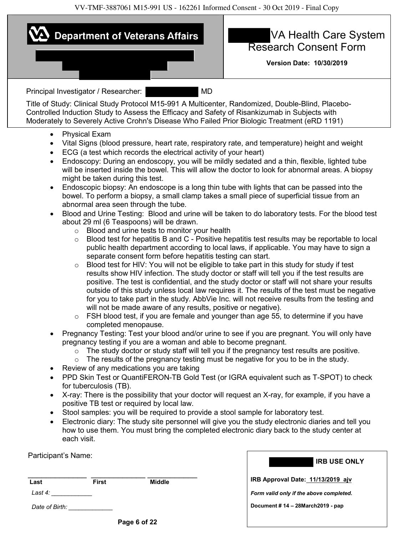

**Version Date: 10/30/2019**

Principal Investigator / Researcher: MD

Title of Study: Clinical Study Protocol M15-991 A Multicenter, Randomized, Double-Blind, Placebo-Controlled Induction Study to Assess the Efficacy and Safety of Risankizumab in Subjects with Moderately to Severely Active Crohn's Disease Who Failed Prior Biologic Treatment (eRD 1191)

- Physical Exam
- Vital Signs (blood pressure, heart rate, respiratory rate, and temperature) height and weight
- ECG (a test which records the electrical activity of your heart)
- Endoscopy: During an endoscopy, you will be mildly sedated and a thin, flexible, lighted tube will be inserted inside the bowel. This will allow the doctor to look for abnormal areas. A biopsy might be taken during this test.
- Endoscopic biopsy: An endoscope is a long thin tube with lights that can be passed into the bowel. To perform a biopsy, a small clamp takes a small piece of superficial tissue from an abnormal area seen through the tube.
- Blood and Urine Testing: Blood and urine will be taken to do laboratory tests. For the blood test about 29 ml (6 Teaspoons) will be drawn.
	- $\circ$  Blood and urine tests to monitor your health  $\circ$  Blood test for hepatitis B and C Positive here
	- Blood test for hepatitis B and C Positive hepatitis test results may be reportable to local public health department according to local laws, if applicable. You may have to sign a separate consent form before hepatitis testing can start.
	- $\circ$  Blood test for HIV: You will not be eligible to take part in this study for study if test results show HIV infection. The study doctor or staff will tell you if the test results are positive. The test is confidential, and the study doctor or staff will not share your results outside of this study unless local law requires it. The results of the test must be negative for you to take part in the study. AbbVie Inc. will not receive results from the testing and will not be made aware of any results, positive or negative).
	- $\circ$  FSH blood test, if you are female and younger than age 55, to determine if you have completed menopause.
- Pregnancy Testing: Test your blood and/or urine to see if you are pregnant. You will only have pregnancy testing if you are a woman and able to become pregnant.
	- $\circ$  The study doctor or study staff will tell you if the pregnancy test results are positive.
	- $\circ$  The results of the pregnancy testing must be negative for you to be in the study.
- Review of any medications you are taking
- PPD Skin Test or QuantiFERON-TB Gold Test (or IGRA equivalent such as T-SPOT) to check for tuberculosis (TB).
- X-ray: There is the possibility that your doctor will request an X-ray, for example, if you have a positive TB test or required by local law.
- Stool samples: you will be required to provide a stool sample for laboratory test.
- Electronic diary: The study site personnel will give you the study electronic diaries and tell you how to use them. You must bring the completed electronic diary back to the study center at each visit.

Participant's Name:

Last **First** Middle

*Last 4: \_\_\_\_\_\_\_\_\_\_\_\_*

\_\_\_\_\_\_\_\_\_\_\_\_\_ \_\_\_\_\_\_\_\_\_\_\_\_ \_\_\_\_\_\_\_\_\_\_\_

**IRB USE ONLY IRB Approval Date: 11/13/2019 ajv** *Form valid only if the above completed.* **Document # 14 – 28March2019 - pap** 

*Date of Birth: \_\_\_\_\_\_\_\_\_\_\_\_\_*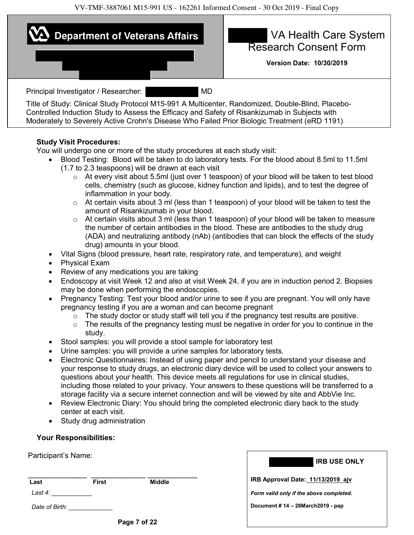

**Version Date: 10/30/2019**

Principal Investigator / Researcher: MD

Title of Study: Clinical Study Protocol M15-991 A Multicenter, Randomized, Double-Blind, Placebo-Controlled Induction Study to Assess the Efficacy and Safety of Risankizumab in Subjects with Moderately to Severely Active Crohn's Disease Who Failed Prior Biologic Treatment (eRD 1191)

### **Study Visit Procedures:**

You will undergo one or more of the study procedures at each study visit:

- Blood Testing: Blood will be taken to do laboratory tests. For the blood about 8.5ml to 11.5ml (1.7 to 2.3 teaspoons) will be drawn at each visit
	- $\circ$  At every visit about 5.5ml (just over 1 teaspoon) of your blood will be taken to test blood cells, chemistry (such as glucose, kidney function and lipids), and to test the degree of inflammation in your body.
	- $\circ$  At certain visits about 3 ml (less than 1 teaspoon) of your blood will be taken to test the amount of Risankizumab in your blood.
	- $\circ$  At certain visits about 3 ml (less than 1 teaspoon) of your blood will be taken to measure the number of certain antibodies in the blood. These are antibodies to the study drug (ADA) and neutralizing antibody (nAb) (antibodies that can block the effects of the study drug) amounts in your blood.
- Vital Signs (blood pressure, heart rate, respiratory rate, and temperature), and weight
- Physical Exam
- Review of any medications you are taking
- Endoscopy at visit Week 12 and also at visit Week 24, if you are in induction period 2. Biopsies may be done when performing the endoscopies.
- Pregnancy Testing: Test your blood and/or urine to see if you are pregnant. You will only have pregnancy testing if you are a woman and can become pregnant
	- $\circ$  The study doctor or study staff will tell you if the pregnancy test results are positive.
	- $\circ$  The results of the pregnancy testing must be negative in order for you to continue in the study.
- Stool samples: you will provide a stool sample for laboratory test
- Urine samples: you will provide a urine samples for laboratory tests.
- Electronic Questionnaires: Instead of using paper and pencil to understand your disease and your response to study drugs, an electronic diary device will be used to collect your answers to questions about your health. This device meets all regulations for use in clinical studies, including those related to your privacy. Your answers to these questions will be transferred to a storage facility via a secure internet connection and will be viewed by site and AbbVie Inc.
- Review Electronic Diary: You should bring the completed electronic diary back to the study center at each visit.
- Study drug administration

### **Your Responsibilities:**

Participant's Name:

| Last                            | <b>First</b> | <b>Middle</b> |
|---------------------------------|--------------|---------------|
| Last 4: Andrew March 1997       |              |               |
| Date of Birth: <b>Date of a</b> |              |               |

| <b>IRB USE ONLY</b>                     |
|-----------------------------------------|
| IRB Approval Date: 11/13/2019 aiv       |
| Form valid only if the above completed. |
| Document # 14 - 28March 2019 - pap      |
|                                         |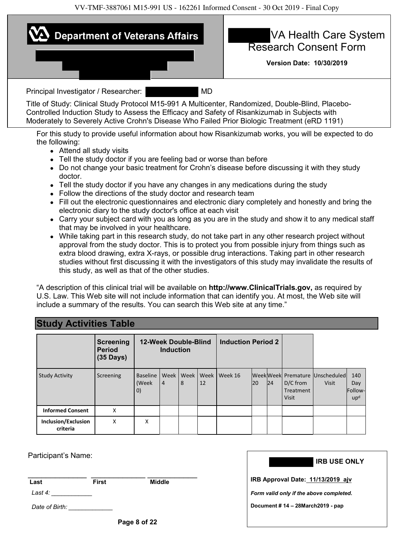

**Version Date: 10/30/2019**

Principal Investigator / Researcher: MD

Title of Study: Clinical Study Protocol M15-991 A Multicenter, Randomized, Double-Blind, Placebo-Controlled Induction Study to Assess the Efficacy and Safety of Risankizumab in Subjects with Moderately to Severely Active Crohn's Disease Who Failed Prior Biologic Treatment (eRD 1191)

For this study to provide useful information about how Risankizumab works, you will be expected to do the following:

- Attend all study visits
- Tell the study doctor if you are feeling bad or worse than before
- Do not change your basic treatment for Crohn's disease before discussing it with they study doctor.
- Tell the study doctor if you have any changes in any medications during the study
- Follow the directions of the study doctor and research team
- Fill out the electronic questionnaires and electronic diary completely and honestly and bring the electronic diary to the study doctor's office at each visit
- Carry your subject card with you as long as you are in the study and show it to any medical staff that may be involved in your healthcare.
- While taking part in this research study, do not take part in any other research project without approval from the study doctor. This is to protect you from possible injury from things such as extra blood drawing, extra X-rays, or possible drug interactions. Taking part in other research studies without first discussing it with the investigators of this study may invalidate the results of this study, as well as that of the other studies.

"A description of this clinical trial will be available on **http://www.ClinicalTrials.gov,** as required by U.S. Law. This Web site will not include information that can identify you. At most, the Web site will include a summary of the results. You can search this Web site at any time."

### **Study Activities Table**

|                                        | <b>Screening</b><br><b>Period</b><br>$(35 \text{ Days})$ | <b>12-Week Double-Blind</b><br><b>Induction</b> |                        |           | <b>Induction Period 2</b> |         |    |    |                                       |                                                |                                          |
|----------------------------------------|----------------------------------------------------------|-------------------------------------------------|------------------------|-----------|---------------------------|---------|----|----|---------------------------------------|------------------------------------------------|------------------------------------------|
| <b>Study Activity</b>                  | Screening                                                | Baseline I<br>(Week<br>$\vert$ 0)               | Week<br>$\overline{4}$ | Week<br>8 | Week<br>12                | Week 16 | 20 | 24 | D/C from<br>Treatment<br><b>Visit</b> | WeekWeek Premature Unscheduled<br><b>Visit</b> | 140<br>Day<br>Follow-<br>up <sup>d</sup> |
| <b>Informed Consent</b>                | x                                                        |                                                 |                        |           |                           |         |    |    |                                       |                                                |                                          |
| <b>Inclusion/Exclusion</b><br>criteria | X                                                        | x                                               |                        |           |                           |         |    |    |                                       |                                                |                                          |

Participant's Name:

*Last 4: \_\_\_\_\_\_\_\_\_\_\_\_*

\_\_\_\_\_\_\_\_\_\_\_\_\_ \_\_\_\_\_\_\_\_\_\_\_\_ \_\_\_\_\_\_\_\_\_\_\_ Last **First** Middle

*Date of Birth: \_\_\_\_\_\_\_\_\_\_\_\_\_*

**IRB Approval Date: 11/13/2019 ajv**

**IRB USE ONLY**

*Form valid only if the above completed.*

**Document # 14 – 28March2019 - pap**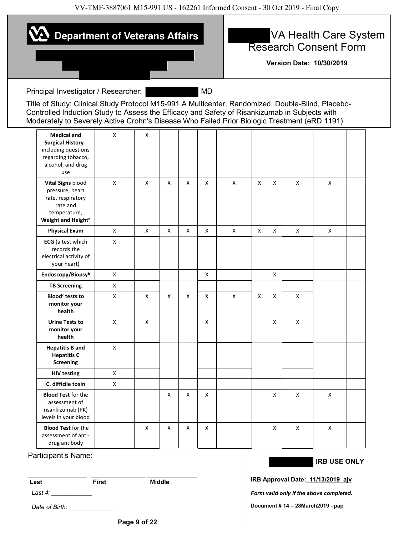

**Version Date: 10/30/2019**

Principal Investigator / Researcher: MD

Title of Study: Clinical Study Protocol M15-991 A Multicenter, Randomized, Double-Blind, Placebo-Controlled Induction Study to Assess the Efficacy and Safety of Risankizumab in Subjects with Moderately to Severely Active Crohn's Disease Who Failed Prior Biologic Treatment (eRD 1191)

| <b>Medical and</b><br><b>Surgical History -</b><br>including questions<br>regarding tobacco,<br>alcohol, and drug<br>use       | $\pmb{\mathsf{X}}$ | $\pmb{\mathsf{X}}$ |                    |                |                    |   |   |                    |                    |                    |  |
|--------------------------------------------------------------------------------------------------------------------------------|--------------------|--------------------|--------------------|----------------|--------------------|---|---|--------------------|--------------------|--------------------|--|
| <b>Vital Signs blood</b><br>pressure, heart<br>rate, respiratory<br>rate and<br>temperature,<br>Weight and Height <sup>a</sup> | X                  | X                  | $\pmb{\chi}$       | X              | $\pmb{\times}$     | X | X | $\pmb{\times}$     | X                  | $\pmb{\times}$     |  |
| <b>Physical Exam</b>                                                                                                           | $\mathsf{X}$       | $\mathsf{X}$       | X                  | $\pmb{\times}$ | $\pmb{\times}$     | X | X | X                  | X                  | $\pmb{\mathsf{X}}$ |  |
| ECG (a test which<br>records the<br>electrical activity of<br>your heart)                                                      | $\mathsf X$        |                    |                    |                |                    |   |   |                    |                    |                    |  |
| Endoscopy/Biopsyb                                                                                                              | $\pmb{\mathsf{X}}$ |                    |                    |                | $\pmb{\mathsf{X}}$ |   |   | X                  |                    |                    |  |
| <b>TB Screening</b>                                                                                                            | X                  |                    |                    |                |                    |   |   |                    |                    |                    |  |
| Blood <sup>c</sup> tests to<br>monitor your<br>health                                                                          | X                  | X                  | X                  | X              | X                  | X | X | X                  | X                  |                    |  |
| <b>Urine Tests to</b><br>monitor your<br>health                                                                                | $\mathsf{X}$       | $\mathsf{X}$       |                    |                | X                  |   |   | X                  | $\pmb{\mathsf{X}}$ |                    |  |
| <b>Hepatitis B and</b><br><b>Hepatitis C</b><br><b>Screening</b>                                                               | $\mathsf X$        |                    |                    |                |                    |   |   |                    |                    |                    |  |
| <b>HIV testing</b>                                                                                                             | X                  |                    |                    |                |                    |   |   |                    |                    |                    |  |
| C. difficile toxin                                                                                                             | $\mathsf X$        |                    |                    |                |                    |   |   |                    |                    |                    |  |
| <b>Blood Test for the</b><br>assessment of<br>risankizumab (PK)<br>levels in your blood                                        |                    |                    | $\pmb{\mathsf{X}}$ | $\pmb{\times}$ | $\pmb{\mathsf{X}}$ |   |   | X                  | $\pmb{\mathsf{X}}$ | $\pmb{\mathsf{X}}$ |  |
| <b>Blood Test for the</b><br>assessment of anti-<br>drug antibody                                                              |                    | $\pmb{\mathsf{X}}$ | $\pmb{\times}$     | X              | $\pmb{\mathsf{X}}$ |   |   | $\pmb{\mathsf{X}}$ | $\pmb{\mathsf{X}}$ | $\pmb{\mathsf{X}}$ |  |

Participant's Name:

Last **First** Middle

*Date of Birth: \_\_\_\_\_\_\_\_\_\_\_\_\_*

*Last 4: \_\_\_\_\_\_\_\_\_\_\_\_*

\_\_\_\_\_\_\_\_\_\_\_\_\_ \_\_\_\_\_\_\_\_\_\_\_\_ \_\_\_\_\_\_\_\_\_\_\_

**IRB USE ONLY**

**IRB Approval Date: 11/13/2019 ajv**

*Form valid only if the above completed.*

**Document # 14 – 28March2019 - pap**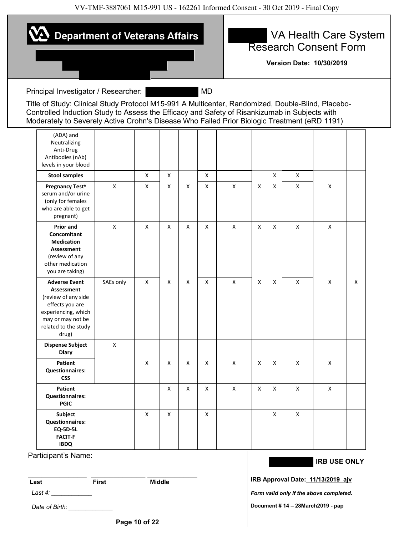

**Version Date: 10/30/2019**

Principal Investigator / Researcher: MD

Title of Study: Clinical Study Protocol M15-991 A Multicenter, Randomized, Double-Blind, Placebo-Controlled Induction Study to Assess the Efficacy and Safety of Risankizumab in Subjects with Moderately to Severely Active Crohn's Disease Who Failed Prior Biologic Treatment (eRD 1191)

| (ADA) and<br>Neutralizing<br>Anti-Drug<br>Antibodies (nAb)<br>levels in your blood                                                                        |                    |                    |              |             |   |                         |   |                    |                    |                    |   |
|-----------------------------------------------------------------------------------------------------------------------------------------------------------|--------------------|--------------------|--------------|-------------|---|-------------------------|---|--------------------|--------------------|--------------------|---|
| <b>Stool samples</b>                                                                                                                                      |                    | $\pmb{\mathsf{X}}$ | X            |             | X |                         |   | X                  | $\pmb{\mathsf{X}}$ |                    |   |
| <b>Pregnancy Test<sup>e</sup></b><br>serum and/or urine<br>(only for females<br>who are able to get<br>pregnant)                                          | $\mathsf{X}$       | X                  | X            | X           | X | $\pmb{\times}$          | X | X                  | X                  | $\mathsf{X}$       |   |
| <b>Prior and</b><br>Concomitant<br><b>Medication</b><br><b>Assessment</b><br>(review of any<br>other medication<br>you are taking)                        | $\pmb{\mathsf{X}}$ | $\pmb{\mathsf{X}}$ | Χ            | X           | X | $\pmb{\times}$          | X | $\pmb{\mathsf{X}}$ | $\pmb{\mathsf{X}}$ | $\pmb{\mathsf{X}}$ |   |
| <b>Adverse Event</b><br>Assessment<br>(review of any side<br>effects you are<br>experiencing, which<br>may or may not be<br>related to the study<br>drug) | SAEs only          | X                  | X            | X           | X | $\mathsf X$             | X | X                  | $\pmb{\times}$     | $\mathsf{X}$       | X |
| <b>Dispense Subject</b><br><b>Diary</b>                                                                                                                   | $\mathsf{X}$       |                    |              |             |   |                         |   |                    |                    |                    |   |
| Patient<br><b>Questionnaires:</b><br><b>CSS</b>                                                                                                           |                    | X                  | X            | X           | X | $\mathsf X$             | X | X                  | $\pmb{\times}$     | $\mathsf{X}$       |   |
| <b>Patient</b><br><b>Questionnaires:</b><br><b>PGIC</b>                                                                                                   |                    |                    | $\mathsf{X}$ | $\mathsf X$ | X | $\mathsf{\overline{X}}$ | X | $\mathsf{X}$       | $\mathsf X$        | $\pmb{\mathsf{X}}$ |   |
| Subject<br><b>Questionnaires:</b><br><b>EQ-5D-5L</b><br><b>FACIT-F</b><br><b>IBDQ</b>                                                                     |                    | X                  | X            |             | X |                         |   | X                  | $\pmb{\mathsf{X}}$ |                    |   |

Participant's Name:

*Last 4: \_\_\_\_\_\_\_\_\_\_\_\_*

\_\_\_\_\_\_\_\_\_\_\_\_\_ \_\_\_\_\_\_\_\_\_\_\_\_ \_\_\_\_\_\_\_\_\_\_\_ Last **First** Middle

*Date of Birth: \_\_\_\_\_\_\_\_\_\_\_\_\_*

**IRB USE ONLY**

**IRB Approval Date: 11/13/2019 ajv**

*Form valid only if the above completed.*

**Document # 14 – 28March2019 - pap**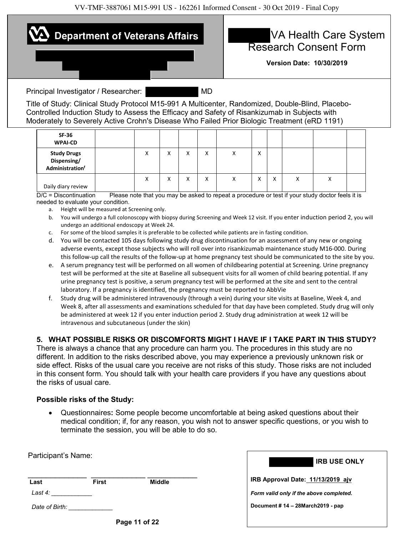# **Department of Veterans Affairs**

### VA Health Care System Research Consent Form

**Version Date: 10/30/2019**

Principal Investigator / Researcher: MD

Title of Study: Clinical Study Protocol M15-991 A Multicenter, Randomized, Double-Blind, Placebo-Controlled Induction Study to Assess the Efficacy and Safety of Risankizumab in Subjects with Moderately to Severely Active Crohn's Disease Who Failed Prior Biologic Treatment (eRD 1191)

| <b>SF-36</b><br><b>WPAI-CD</b>                                    |   |   |   |   |   |   |                   |   |   |  |
|-------------------------------------------------------------------|---|---|---|---|---|---|-------------------|---|---|--|
| <b>Study Drugs<br/>Dispensing/<br/>Administration<sup>f</sup></b> | х | X | Χ | X | v | X |                   |   |   |  |
| Daily diary review                                                | Χ | x | X | X | x | X | $\checkmark$<br>∧ | Χ | X |  |

D/C = Discontinuation Please note that you may be asked to repeat a procedure or test if your study doctor feels it is needed to evaluate your condition.

- a. Height will be measured at Screening only.
- b. You will undergo a full colonoscopy with biopsy during Screening and Week 12 visit. If you enter induction period 2, you will undergo an additional endoscopy at Week 24.
- c. For some of the blood samples it is preferable to be collected while patients are in fasting condition.
- d. You will be contacted 105 days following study drug discontinuation for an assessment of any new or ongoing adverse events, except those subjects who will roll over into risankizumab maintenance study M16-000. During this follow-up call the results of the follow-up at home pregnancy test should be communicated to the site by you.
- e. A serum pregnancy test will be performed on all women of childbearing potential at Screening. Urine pregnancy test will be performed at the site at Baseline all subsequent visits for all women of child bearing potential. If any urine pregnancy test is positive, a serum pregnancy test will be performed at the site and sent to the central laboratory. If a pregnancy is identified, the pregnancy must be reported to AbbVie
- f. Study drug will be administered intravenously (through a vein) during your site visits at Baseline, Week 4, and Week 8, after all assessments and examinations scheduled for that day have been completed. Study drug will only be administered at week 12 if you enter induction period 2. Study drug administration at week 12 will be intravenous and subcutaneous (under the skin)

### **5. WHAT POSSIBLE RISKS OR DISCOMFORTS MIGHT I HAVE IF I TAKE PART IN THIS STUDY?**

There is always a chance that any procedure can harm you. The procedures in this study are no different. In addition to the risks described above, you may experience a previously unknown risk or side effect. Risks of the usual care you receive are not risks of this study. Those risks are not included in this consent form. You should talk with your health care providers if you have any questions about the risks of usual care.

#### **Possible risks of the Study:**

• Questionnaires**:** Some people become uncomfortable at being asked questions about their medical condition; if, for any reason, you wish not to answer specific questions, or you wish to terminate the session, you will be able to do so.

| Participant's Name: |              |               |             |
|---------------------|--------------|---------------|-------------|
| Last                | <b>First</b> | <b>Middle</b> | <b>IRBA</b> |
| Last 4:             |              |               | <b>Form</b> |
| Date of Birth:      |              |               | Docun       |

| <b>IRB USE ONLY</b>                     |  |
|-----------------------------------------|--|
| IRB Approval Date: 11/13/2019 ajv       |  |
| Form valid only if the above completed. |  |
| Document # 14 – 28March2019 - pap       |  |
|                                         |  |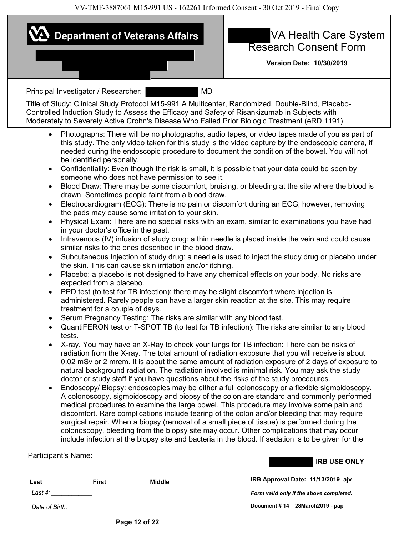

**Version Date: 10/30/2019**

Principal Investigator / Researcher: MD

Title of Study: Clinical Study Protocol M15-991 A Multicenter, Randomized, Double-Blind, Placebo-Controlled Induction Study to Assess the Efficacy and Safety of Risankizumab in Subjects with Moderately to Severely Active Crohn's Disease Who Failed Prior Biologic Treatment (eRD 1191)

- Photographs: There will be no photographs, audio tapes, or video tapes made of you as part of this study. The only video taken for this study is the video capture by the endoscopic camera, if needed during the endoscopic procedure to document the condition of the bowel. You will not be identified personally.
- Confidentiality: Even though the risk is small, it is possible that your data could be seen by someone who does not have permission to see it.
- Blood Draw: There may be some discomfort, bruising, or bleeding at the site where the blood is drawn. Sometimes people faint from a blood draw.
- Electrocardiogram (ECG): There is no pain or discomfort during an ECG; however, removing the pads may cause some irritation to your skin.
- Physical Exam: There are no special risks with an exam, similar to examinations you have had in your doctor's office in the past.
- Intravenous (IV) infusion of study drug: a thin needle is placed inside the vein and could cause similar risks to the ones described in the blood draw.
- Subcutaneous Injection of study drug: a needle is used to inject the study drug or placebo under the skin. This can cause skin irritation and/or itching.
- Placebo: a placebo is not designed to have any chemical effects on your body. No risks are expected from a placebo.
- PPD test (to test for TB infection): there may be slight discomfort where injection is administered. Rarely people can have a larger skin reaction at the site. This may require treatment for a couple of days.
- Serum Pregnancy Testing: The risks are similar with any blood test.
- QuantiFERON test or T-SPOT TB (to test for TB infection): The risks are similar to any blood tests.
- X-ray. You may have an X-Ray to check your lungs for TB infection: There can be risks of radiation from the X-ray. The total amount of radiation exposure that you will receive is about 0.02 mSv or 2 mrem. It is about the same amount of radiation exposure of 2 days of exposure to natural background radiation. The radiation involved is minimal risk. You may ask the study doctor or study staff if you have questions about the risks of the study procedures.
- Endoscopy/ Biopsy: endoscopies may be either a full colonoscopy or a flexible sigmoidoscopy. A colonoscopy, sigmoidoscopy and biopsy of the colon are standard and commonly performed medical procedures to examine the large bowel. This procedure may involve some pain and discomfort. Rare complications include tearing of the colon and/or bleeding that may require surgical repair. When a biopsy (removal of a small piece of tissue) is performed during the colonoscopy, bleeding from the biopsy site may occur. Other complications that may occur include infection at the biopsy site and bacteria in the blood. If sedation is to be given for the

Participant's Name:

| Last           | <b>First</b> | <b>Middle</b> |  |
|----------------|--------------|---------------|--|
| Last 4:        |              |               |  |
| Date of Birth: |              |               |  |

| <b>IRB USE ONLY</b>                     |  |  |  |  |
|-----------------------------------------|--|--|--|--|
| IRB Approval Date: 11/13/2019 aiv       |  |  |  |  |
| Form valid only if the above completed. |  |  |  |  |
| Document # 14 - 28March 2019 - pap      |  |  |  |  |
|                                         |  |  |  |  |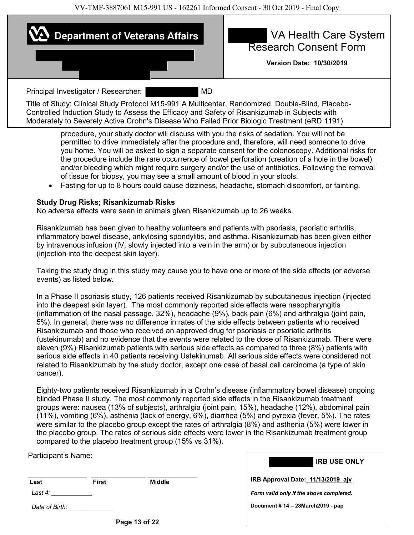

**Version Date: 10/30/2019**

Principal Investigator / Researcher: MD

Title of Study: Clinical Study Protocol M15-991 A Multicenter, Randomized, Double-Blind, Placebo-Controlled Induction Study to Assess the Efficacy and Safety of Risankizumab in Subjects with Moderately to Severely Active Crohn's Disease Who Failed Prior Biologic Treatment (eRD 1191)

> procedure, your study doctor will discuss with you the risks of sedation. You will not be permitted to drive immediately after the procedure and, therefore, will need someone to drive you home. You will be asked to sign a separate consent for the colonoscopy. Additional risks for the procedure include the rare occurrence of bowel perforation (creation of a hole in the bowel) and/or bleeding which might require surgery and/or the use of antibiotics. Following the removal of tissue for biopsy, you may see a small amount of blood in your stools.

• Fasting for up to 8 hours could cause dizziness, headache, stomach discomfort, or fainting.

#### **Study Drug Risks; Risankizumab Risks**

No adverse effects were seen in animals given Risankizumab up to 26 weeks.

Risankizumab has been given to healthy volunteers and patients with psoriasis, psoriatic arthritis, inflammatory bowel disease, ankylosing spondylitis, and asthma. Risankizumab has been given either by intravenous infusion (IV, slowly injected into a vein in the arm) or by subcutaneous injection (injection into the deepest skin layer).

Taking the study drug in this study may cause you to have one or more of the side effects (or adverse events) as listed below.

In a Phase II psoriasis study, 126 patients received Risankizumab by subcutaneous injection (injected into the deepest skin layer). The most commonly reported side effects were nasopharyngitis (inflammation of the nasal passage, 32%), headache (9%), back pain (6%) and arthralgia (joint pain, 5%). In general, there was no difference in rates of the side effects between patients who received Risankizumab and those who received an approved drug for psoriasis or psoriatic arthritis (ustekinumab) and no evidence that the events were related to the dose of Risankizumab. There were eleven (9%) Risankizumab patients with serious side effects as compared to three (8%) patients with serious side effects in 40 patients receiving Ustekinumab. All serious side effects were considered not related to Risankizumab by the study doctor, except one case of basal cell carcinoma (a type of skin cancer).

Eighty-two patients received Risankizumab in a Crohn's disease (inflammatory bowel disease) ongoing blinded Phase II study. The most commonly reported side effects in the Risankizumab treatment groups were: nausea (13% of subjects), arthralgia (joint pain, 15%), headache (12%), abdominal pain (11%), vomiting (6%), asthenia (lack of energy, 6%), diarrhea (5%) and pyrexia (fever, 5%). The rates were similar to the placebo group except the rates of arthralgia (8%) and asthenia (5%) were lower in the placebo group. The rates of serious side effects were lower in the Risankizumab treatment group compared to the placebo treatment group (15% vs 31%).

Participant's Name:

\_\_\_\_\_\_\_\_\_\_\_\_\_ \_\_\_\_\_\_\_\_\_\_\_\_ \_\_\_\_\_\_\_\_\_\_\_ Last **First** Middle *Last 4: \_\_\_\_\_\_\_\_\_\_\_\_ Date of Birth: \_\_\_\_\_\_\_\_\_\_\_\_\_*

| <b>IRB USE ONLY</b>                     |
|-----------------------------------------|
| IRB Approval Date: 11/13/2019 aiv       |
| Form valid only if the above completed. |
| Document # 14 - 28March 2019 - pap      |
|                                         |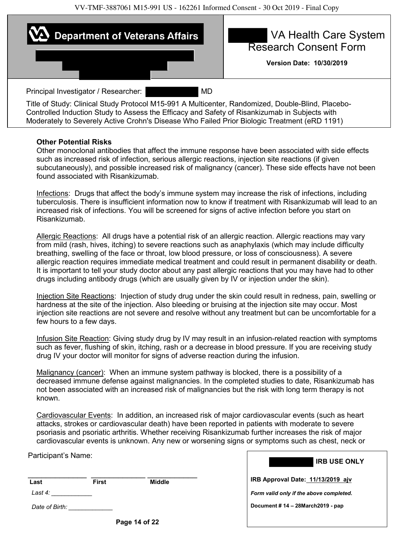

**Version Date: 10/30/2019**

Principal Investigator / Researcher: MD

Title of Study: Clinical Study Protocol M15-991 A Multicenter, Randomized, Double-Blind, Placebo-Controlled Induction Study to Assess the Efficacy and Safety of Risankizumab in Subjects with Moderately to Severely Active Crohn's Disease Who Failed Prior Biologic Treatment (eRD 1191)

#### **Other Potential Risks**

Other monoclonal antibodies that affect the immune response have been associated with side effects such as increased risk of infection, serious allergic reactions, injection site reactions (if given subcutaneously), and possible increased risk of malignancy (cancer). These side effects have not been found associated with Risankizumab.

Infections: Drugs that affect the body's immune system may increase the risk of infections, including tuberculosis. There is insufficient information now to know if treatment with Risankizumab will lead to an increased risk of infections. You will be screened for signs of active infection before you start on Risankizumab.

Allergic Reactions: All drugs have a potential risk of an allergic reaction. Allergic reactions may vary from mild (rash, hives, itching) to severe reactions such as anaphylaxis (which may include difficulty breathing, swelling of the face or throat, low blood pressure, or loss of consciousness). A severe allergic reaction requires immediate medical treatment and could result in permanent disability or death. It is important to tell your study doctor about any past allergic reactions that you may have had to other drugs including antibody drugs (which are usually given by IV or injection under the skin).

Injection Site Reactions: Injection of study drug under the skin could result in redness, pain, swelling or hardness at the site of the injection. Also bleeding or bruising at the injection site may occur. Most injection site reactions are not severe and resolve without any treatment but can be uncomfortable for a few hours to a few days.

Infusion Site Reaction: Giving study drug by IV may result in an infusion-related reaction with symptoms such as fever, flushing of skin, itching, rash or a decrease in blood pressure. If you are receiving study drug IV your doctor will monitor for signs of adverse reaction during the infusion.

Malignancy (cancer): When an immune system pathway is blocked, there is a possibility of a decreased immune defense against malignancies. In the completed studies to date, Risankizumab has not been associated with an increased risk of malignancies but the risk with long term therapy is not known.

Cardiovascular Events: In addition, an increased risk of major cardiovascular events (such as heart attacks, strokes or cardiovascular death) have been reported in patients with moderate to severe psoriasis and psoriatic arthritis. Whether receiving Risankizumab further increases the risk of major cardiovascular events is unknown. Any new or worsening signs or symptoms such as chest, neck or

Participant's Name:

*Date of Birth: \_\_\_\_\_\_\_\_\_\_\_\_\_*

\_\_\_\_\_\_\_\_\_\_\_\_\_ \_\_\_\_\_\_\_\_\_\_\_\_ \_\_\_\_\_\_\_\_\_\_\_ Last **First** Middle *Last 4: \_\_\_\_\_\_\_\_\_\_\_\_*

| <b>IRB USE ONLY</b>                     |  |  |  |  |
|-----------------------------------------|--|--|--|--|
| IRB Approval Date: 11/13/2019 ajv       |  |  |  |  |
| Form valid only if the above completed. |  |  |  |  |
| Document # 14 - 28March 2019 - pap      |  |  |  |  |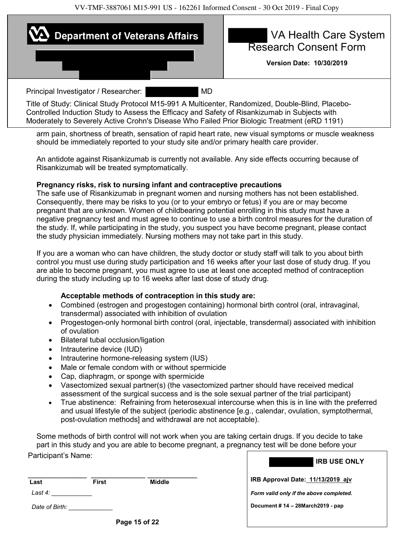

**Version Date: 10/30/2019**

Principal Investigator / Researcher: MD

Title of Study: Clinical Study Protocol M15-991 A Multicenter, Randomized, Double-Blind, Placebo-Controlled Induction Study to Assess the Efficacy and Safety of Risankizumab in Subjects with Moderately to Severely Active Crohn's Disease Who Failed Prior Biologic Treatment (eRD 1191)

arm pain, shortness of breath, sensation of rapid heart rate, new visual symptoms or muscle weakness should be immediately reported to your study site and/or primary health care provider.

An antidote against Risankizumab is currently not available. Any side effects occurring because of Risankizumab will be treated symptomatically.

#### **Pregnancy risks, risk to nursing infant and contraceptive precautions**

The safe use of Risankizumab in pregnant women and nursing mothers has not been established. Consequently, there may be risks to you (or to your embryo or fetus) if you are or may become pregnant that are unknown. Women of childbearing potential enrolling in this study must have a negative pregnancy test and must agree to continue to use a birth control measures for the duration of the study. If, while participating in the study, you suspect you have become pregnant, please contact the study physician immediately. Nursing mothers may not take part in this study.

If you are a woman who can have children, the study doctor or study staff will talk to you about birth control you must use during study participation and 16 weeks after your last dose of study drug. If you are able to become pregnant, you must agree to use at least one accepted method of contraception during the study including up to 16 weeks after last dose of study drug.

### **Acceptable methods of contraception in this study are:**

- Combined (estrogen and progestogen containing) hormonal birth control (oral, intravaginal, transdermal) associated with inhibition of ovulation
- Progestogen-only hormonal birth control (oral, injectable, transdermal) associated with inhibition of ovulation
- Bilateral tubal occlusion/ligation
- Intrauterine device (IUD)
- Intrauterine hormone-releasing system (IUS)
- Male or female condom with or without spermicide
- Cap, diaphragm, or sponge with spermicide
- Vasectomized sexual partner(s) (the vasectomized partner should have received medical assessment of the surgical success and is the sole sexual partner of the trial participant)
- True abstinence: Refraining from heterosexual intercourse when this is in line with the preferred and usual lifestyle of the subject (periodic abstinence [e.g., calendar, ovulation, symptothermal, post-ovulation methods] and withdrawal are not acceptable).

Participant's Name: Some methods of birth control will not work when you are taking certain drugs. If you decide to take part in this study and you are able to become pregnant, a pregnancy test will be done before your

| Last                       | <b>First</b> | <b>Middle</b> |  |
|----------------------------|--------------|---------------|--|
| Last 4: <b>All Accords</b> |              |               |  |
| Date of Birth:             |              |               |  |

| <b>IRB USE ONLY</b>                     |  |  |  |  |  |
|-----------------------------------------|--|--|--|--|--|
| IRB Approval Date: 11/13/2019 aiv       |  |  |  |  |  |
| Form valid only if the above completed. |  |  |  |  |  |
| Document # 14 – 28March2019 - pap       |  |  |  |  |  |
|                                         |  |  |  |  |  |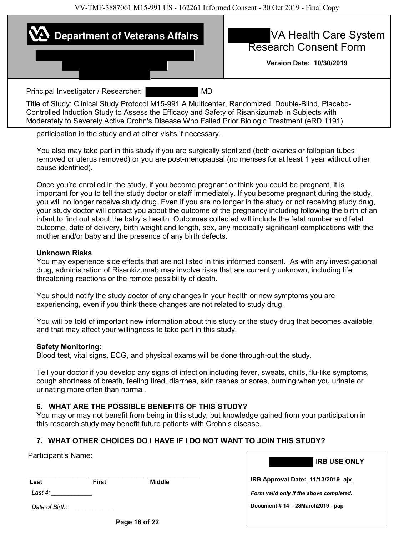

**Version Date: 10/30/2019**

Principal Investigator / Researcher: MD

Title of Study: Clinical Study Protocol M15-991 A Multicenter, Randomized, Double-Blind, Placebo-Controlled Induction Study to Assess the Efficacy and Safety of Risankizumab in Subjects with Moderately to Severely Active Crohn's Disease Who Failed Prior Biologic Treatment (eRD 1191)

participation in the study and at other visits if necessary.

You also may take part in this study if you are surgically sterilized (both ovaries or fallopian tubes removed or uterus removed) or you are post-menopausal (no menses for at least 1 year without other cause identified).

Once you're enrolled in the study, if you become pregnant or think you could be pregnant, it is important for you to tell the study doctor or staff immediately. If you become pregnant during the study, you will no longer receive study drug. Even if you are no longer in the study or not receiving study drug, your study doctor will contact you about the outcome of the pregnancy including following the birth of an infant to find out about the baby´s health. Outcomes collected will include the fetal number and fetal outcome, date of delivery, birth weight and length, sex, any medically significant complications with the mother and/or baby and the presence of any birth defects.

#### **Unknown Risks**

You may experience side effects that are not listed in this informed consent. As with any investigational drug, administration of Risankizumab may involve risks that are currently unknown, including life threatening reactions or the remote possibility of death.

You should notify the study doctor of any changes in your health or new symptoms you are experiencing, even if you think these changes are not related to study drug.

You will be told of important new information about this study or the study drug that becomes available and that may affect your willingness to take part in this study.

#### **Safety Monitoring:**

Blood test, vital signs, ECG, and physical exams will be done through-out the study.

Tell your doctor if you develop any signs of infection including fever, sweats, chills, flu-like symptoms, cough shortness of breath, feeling tired, diarrhea, skin rashes or sores, burning when you urinate or urinating more often than normal.

### **6. WHAT ARE THE POSSIBLE BENEFITS OF THIS STUDY?**

You may or may not benefit from being in this study, but knowledge gained from your participation in this research study may benefit future patients with Crohn's disease.

### **7. WHAT OTHER CHOICES DO I HAVE IF I DO NOT WANT TO JOIN THIS STUDY?**

Participant's Name:

*Last 4: \_\_\_\_\_\_\_\_\_\_\_\_*

\_\_\_\_\_\_\_\_\_\_\_\_\_ \_\_\_\_\_\_\_\_\_\_\_\_ \_\_\_\_\_\_\_\_\_\_\_ Last **First** Middle

*Date of Birth: \_\_\_\_\_\_\_\_\_\_\_\_\_*

**IRB USE ONLY IRB Approval Date: 11/13/2019 ajv** *Form valid only if the above completed.* **Document # 14 – 28March2019 - pap**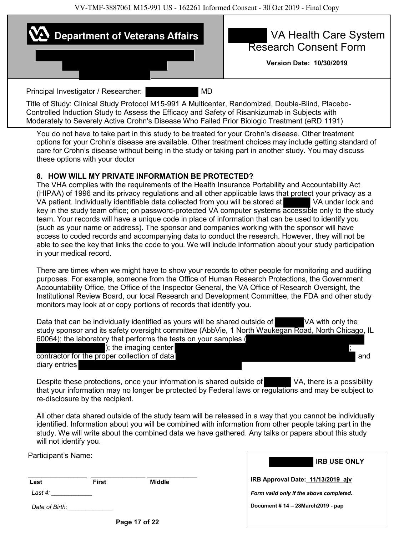

**Version Date: 10/30/2019**

Principal Investigator / Researcher: MD

Title of Study: Clinical Study Protocol M15-991 A Multicenter, Randomized, Double-Blind, Placebo-Controlled Induction Study to Assess the Efficacy and Safety of Risankizumab in Subjects with Moderately to Severely Active Crohn's Disease Who Failed Prior Biologic Treatment (eRD 1191)

You do not have to take part in this study to be treated for your Crohn's disease. Other treatment options for your Crohn's disease are available. Other treatment choices may include getting standard of care for Crohn's disease without being in the study or taking part in another study. You may discuss these options with your doctor

### **8. HOW WILL MY PRIVATE INFORMATION BE PROTECTED?**

The VHA complies with the requirements of the Health Insurance Portability and Accountability Act (HIPAA) of 1996 and its privacy regulations and all other applicable laws that protect your privacy as a VA patient. Individually identifiable data collected from you will be stored at VA under lock and key in the study team office; on password-protected VA computer systems accessible only to the study team. Your records will have a unique code in place of information that can be used to identify you (such as your name or address). The sponsor and companies working with the sponsor will have access to coded records and accompanying data to conduct the research. However, they will not be able to see the key that links the code to you. We will include information about your study participation in your medical record.

There are times when we might have to show your records to other people for monitoring and auditing purposes. For example, someone from the Office of Human Research Protections, the Government Accountability Office, the Office of the Inspector General, the VA Office of Research Oversight, the Institutional Review Board, our local Research and Development Committee, the FDA and other study monitors may look at or copy portions of records that identify you.

Data that can be individually identified as yours will be shared outside of VA with only the study sponsor and its safety oversight committee (AbbVie, 1 North Waukegan Road, North Chicago, IL 60064); the laboratory that performs the tests on your samples (

); the imaging center contractor for the proper collection of data and contractor for the proper collection of data diary entries

Despite these protections, once your information is shared outside of VA, there is a possibility that your information may no longer be protected by Federal laws or regulations and may be subject to re-disclosure by the recipient.

All other data shared outside of the study team will be released in a way that you cannot be individually identified. Information about you will be combined with information from other people taking part in the study. We will write about the combined data we have gathered. Any talks or papers about this study will not identify you.

Participant's Name:

\_\_\_\_\_\_\_\_\_\_\_\_\_ \_\_\_\_\_\_\_\_\_\_\_\_ \_\_\_\_\_\_\_\_\_\_\_ Last **First** Middle *Last 4: \_\_\_\_\_\_\_\_\_\_\_\_*

*Date of Birth: \_\_\_\_\_\_\_\_\_\_\_\_\_*

**IRB USE ONLY IRB Approval Date: 11/13/2019 ajv** *Form valid only if the above completed.* **Document # 14 – 28March2019 - pap**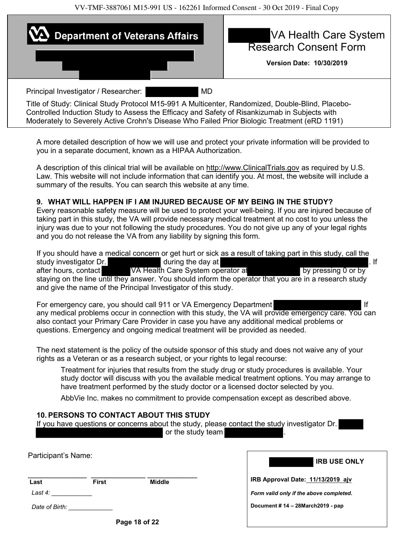

**Version Date: 10/30/2019**

Principal Investigator / Researcher: MD

Title of Study: Clinical Study Protocol M15-991 A Multicenter, Randomized, Double-Blind, Placebo-Controlled Induction Study to Assess the Efficacy and Safety of Risankizumab in Subjects with Moderately to Severely Active Crohn's Disease Who Failed Prior Biologic Treatment (eRD 1191)

A more detailed description of how we will use and protect your private information will be provided to you in a separate document, known as a HIPAA Authorization.

A description of this clinical trial will be available on http://www.ClinicalTrials.gov as required by U.S. Law. This website will not include information that can identify you. At most, the website will include a summary of the results. You can search this website at any time.

### **9. WHAT WILL HAPPEN IF I AM INJURED BECAUSE OF MY BEING IN THE STUDY?**

Every reasonable safety measure will be used to protect your well-being. If you are injured because of taking part in this study, the VA will provide necessary medical treatment at no cost to you unless the injury was due to your not following the study procedures. You do not give up any of your legal rights and you do not release the VA from any liability by signing this form.

If you should have a medical concern or get hurt or sick as a result of taking part in this study, call the study investigator Dr. **Example 20** during the day at  $\mathbf{r}$  is a study investigator Dr. after hours, contact **VA Health Care System operator at** by pressing 0 or by staying on the line until they answer. You should inform the operator that you are in a research study and give the name of the Principal Investigator of this study.

For emergency care, you should call 911 or VA Emergency Department International If any medical problems occur in connection with this study, the VA will provide emergency care. You can also contact your Primary Care Provider in case you have any additional medical problems or questions. Emergency and ongoing medical treatment will be provided as needed.

The next statement is the policy of the outside sponsor of this study and does not waive any of your rights as a Veteran or as a research subject, or your rights to legal recourse:

Treatment for injuries that results from the study drug or study procedures is available. Your study doctor will discuss with you the available medical treatment options. You may arrange to have treatment performed by the study doctor or a licensed doctor selected by you.

AbbVie Inc. makes no commitment to provide compensation except as described above.

### **10. PERSONS TO CONTACT ABOUT THIS STUDY**

|  |  |                   |  | If you have questions or concerns about the study, please contact the study investigator Dr. |  |
|--|--|-------------------|--|----------------------------------------------------------------------------------------------|--|
|  |  | or the study team |  |                                                                                              |  |

| Participant's Name:       |              |               | <b>IRB USE ONLY</b>                                                           |
|---------------------------|--------------|---------------|-------------------------------------------------------------------------------|
| Last                      | <b>First</b> | <b>Middle</b> | IRB Approval Date: 11/13/2019 ajv                                             |
| Last 4:<br>Date of Birth: |              |               | Form valid only if the above completed.<br>Document # 14 - 28March 2019 - pap |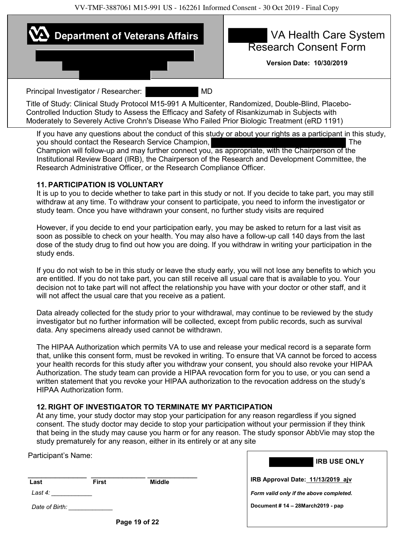

**Version Date: 10/30/2019**

Principal Investigator / Researcher: MD

Title of Study: Clinical Study Protocol M15-991 A Multicenter, Randomized, Double-Blind, Placebo-Controlled Induction Study to Assess the Efficacy and Safety of Risankizumab in Subjects with Moderately to Severely Active Crohn's Disease Who Failed Prior Biologic Treatment (eRD 1191)

Research Administrative Officer, or the Research Compliance Officer.

If you have any questions about the conduct of this study or about your rights as a participant in this study, you should contact the Research Service Champion, The Champion will follow-up and may further connect you, as appropriate, with the Chairperson of the Institutional Review Board (IRB), the Chairperson of the Research and Development Committee, the

#### **11. PARTICIPATION IS VOLUNTARY**

It is up to you to decide whether to take part in this study or not. If you decide to take part, you may still withdraw at any time. To withdraw your consent to participate, you need to inform the investigator or study team. Once you have withdrawn your consent, no further study visits are required

However, if you decide to end your participation early, you may be asked to return for a last visit as soon as possible to check on your health. You may also have a follow-up call 140 days from the last dose of the study drug to find out how you are doing. If you withdraw in writing your participation in the study ends.

If you do not wish to be in this study or leave the study early, you will not lose any benefits to which you are entitled. If you do not take part, you can still receive all usual care that is available to you. Your decision not to take part will not affect the relationship you have with your doctor or other staff, and it will not affect the usual care that you receive as a patient.

Data already collected for the study prior to your withdrawal, may continue to be reviewed by the study investigator but no further information will be collected, except from public records, such as survival data. Any specimens already used cannot be withdrawn.

The HIPAA Authorization which permits VA to use and release your medical record is a separate form that, unlike this consent form, must be revoked in writing. To ensure that VA cannot be forced to access your health records for this study after you withdraw your consent, you should also revoke your HIPAA Authorization. The study team can provide a HIPAA revocation form for you to use, or you can send a written statement that you revoke your HIPAA authorization to the revocation address on the study's HIPAA Authorization form.

### **12. RIGHT OF INVESTIGATOR TO TERMINATE MY PARTICIPATION**

At any time, your study doctor may stop your participation for any reason regardless if you signed consent. The study doctor may decide to stop your participation without your permission if they think that being in the study may cause you harm or for any reason. The study sponsor AbbVie may stop the study prematurely for any reason, either in its entirely or at any site

| Participant's Name: |              |                      | <b>IRB USE ONLY</b>                     |
|---------------------|--------------|----------------------|-----------------------------------------|
| Last                | <b>First</b> | <b>Middle</b>        | IRB Approval Date: 11/13/2019 ajv       |
| Last 4:             |              |                      | Form valid only if the above completed. |
| Date of Birth:      |              |                      | Document # 14 - 28March 2019 - pap      |
|                     |              | <b>Deas 40 - 100</b> |                                         |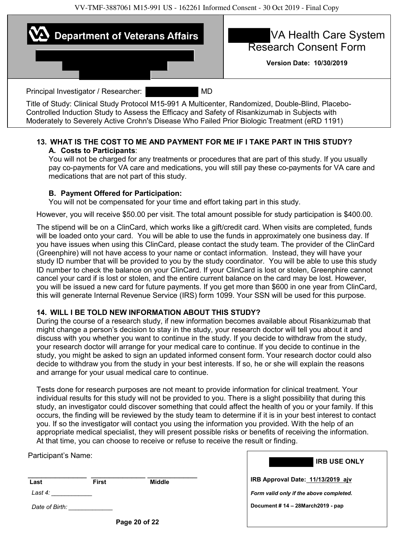

**Version Date: 10/30/2019**

Principal Investigator / Researcher: MD

Title of Study: Clinical Study Protocol M15-991 A Multicenter, Randomized, Double-Blind, Placebo-Controlled Induction Study to Assess the Efficacy and Safety of Risankizumab in Subjects with Moderately to Severely Active Crohn's Disease Who Failed Prior Biologic Treatment (eRD 1191)

#### **13. WHAT IS THE COST TO ME AND PAYMENT FOR ME IF I TAKE PART IN THIS STUDY? A. Costs to Participants**:

You will not be charged for any treatments or procedures that are part of this study. If you usually pay co-payments for VA care and medications, you will still pay these co-payments for VA care and medications that are not part of this study.

### **B. Payment Offered for Participation:**

You will not be compensated for your time and effort taking part in this study.

However, you will receive \$50.00 per visit. The total amount possible for study participation is \$400.00.

The stipend will be on a ClinCard, which works like a gift/credit card. When visits are completed, funds will be loaded onto your card. You will be able to use the funds in approximately one business day. If you have issues when using this ClinCard, please contact the study team. The provider of the ClinCard (Greenphire) will not have access to your name or contact information. Instead, they will have your study ID number that will be provided to you by the study coordinator. You will be able to use this study ID number to check the balance on your ClinCard. If your ClinCard is lost or stolen, Greenphire cannot cancel your card if is lost or stolen, and the entire current balance on the card may be lost. However, you will be issued a new card for future payments. If you get more than \$600 in one year from ClinCard, this will generate Internal Revenue Service (IRS) form 1099. Your SSN will be used for this purpose.

### **14. WILL I BE TOLD NEW INFORMATION ABOUT THIS STUDY?**

During the course of a research study, if new information becomes available about Risankizumab that might change a person's decision to stay in the study, your research doctor will tell you about it and discuss with you whether you want to continue in the study. If you decide to withdraw from the study, your research doctor will arrange for your medical care to continue. If you decide to continue in the study, you might be asked to sign an updated informed consent form. Your research doctor could also decide to withdraw you from the study in your best interests. If so, he or she will explain the reasons and arrange for your usual medical care to continue.

Tests done for research purposes are not meant to provide information for clinical treatment. Your individual results for this study will not be provided to you. There is a slight possibility that during this study, an investigator could discover something that could affect the health of you or your family. If this occurs, the finding will be reviewed by the study team to determine if it is in your best interest to contact you. If so the investigator will contact you using the information you provided. With the help of an appropriate medical specialist, they will present possible risks or benefits of receiving the information. At that time, you can choose to receive or refuse to receive the result or finding.

Participant's Name:

\_\_\_\_\_\_\_\_\_\_\_\_\_ \_\_\_\_\_\_\_\_\_\_\_\_ \_\_\_\_\_\_\_\_\_\_\_ Last **First** Middle *Last 4: \_\_\_\_\_\_\_\_\_\_\_\_ Date of Birth: \_\_\_\_\_\_\_\_\_\_\_\_\_*

| <b>IRB USE ONLY</b>                     |
|-----------------------------------------|
| IRB Approval Date: 11/13/2019 aiv       |
| Form valid only if the above completed. |
| Document # 14 - 28March 2019 - pap      |
|                                         |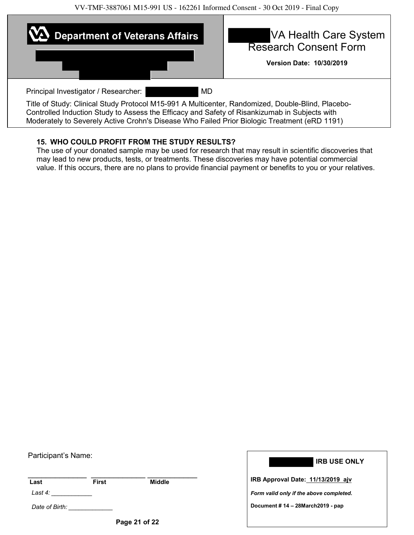

Title of Study: Clinical Study Protocol M15-991 A Multicenter, Randomized, Double-Blind, Placebo-Controlled Induction Study to Assess the Efficacy and Safety of Risankizumab in Subjects with Moderately to Severely Active Crohn's Disease Who Failed Prior Biologic Treatment (eRD 1191)

#### **15. WHO COULD PROFIT FROM THE STUDY RESULTS?**

The use of your donated sample may be used for research that may result in scientific discoveries that may lead to new products, tests, or treatments. These discoveries may have potential commercial value. If this occurs, there are no plans to provide financial payment or benefits to you or your relatives.

Participant's Name:

\_\_\_\_\_\_\_\_\_\_\_\_\_ \_\_\_\_\_\_\_\_\_\_\_\_ \_\_\_\_\_\_\_\_\_\_\_ Last **First** Middle *Last 4: \_\_\_\_\_\_\_\_\_\_\_\_*

*Date of Birth: \_\_\_\_\_\_\_\_\_\_\_\_\_*

**IRB Approval Date: 11/13/2019 ajv** *Form valid only if the above completed.* **Document # 14 – 28March2019 - pap** 

**IRB USE ONLY**